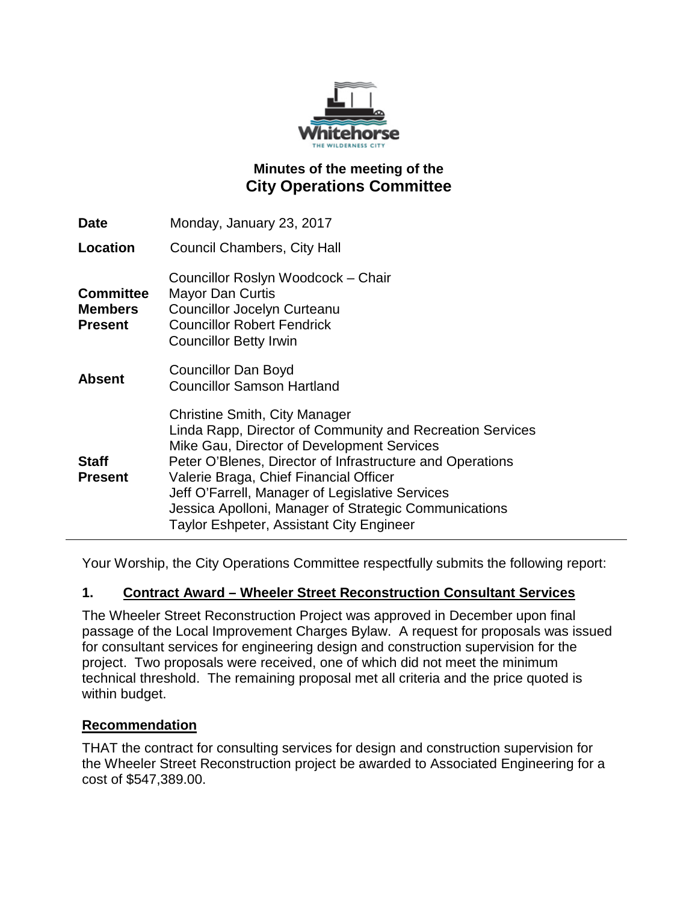

# **Minutes of the meeting of the City Operations Committee**

| <b>Date</b>                                          | Monday, January 23, 2017                                                                                                                                                                                                                                                                                                                                                                                              |
|------------------------------------------------------|-----------------------------------------------------------------------------------------------------------------------------------------------------------------------------------------------------------------------------------------------------------------------------------------------------------------------------------------------------------------------------------------------------------------------|
| <b>Location</b>                                      | Council Chambers, City Hall                                                                                                                                                                                                                                                                                                                                                                                           |
| <b>Committee</b><br><b>Members</b><br><b>Present</b> | Councillor Roslyn Woodcock - Chair<br><b>Mayor Dan Curtis</b><br><b>Councillor Jocelyn Curteanu</b><br><b>Councillor Robert Fendrick</b><br><b>Councillor Betty Irwin</b>                                                                                                                                                                                                                                             |
| <b>Absent</b>                                        | Councillor Dan Boyd<br><b>Councillor Samson Hartland</b>                                                                                                                                                                                                                                                                                                                                                              |
| <b>Staff</b><br><b>Present</b>                       | <b>Christine Smith, City Manager</b><br>Linda Rapp, Director of Community and Recreation Services<br>Mike Gau, Director of Development Services<br>Peter O'Blenes, Director of Infrastructure and Operations<br>Valerie Braga, Chief Financial Officer<br>Jeff O'Farrell, Manager of Legislative Services<br>Jessica Apolloni, Manager of Strategic Communications<br><b>Taylor Eshpeter, Assistant City Engineer</b> |

Your Worship, the City Operations Committee respectfully submits the following report:

## **1. Contract Award – Wheeler Street Reconstruction Consultant Services**

The Wheeler Street Reconstruction Project was approved in December upon final passage of the Local Improvement Charges Bylaw. A request for proposals was issued for consultant services for engineering design and construction supervision for the project. Two proposals were received, one of which did not meet the minimum technical threshold. The remaining proposal met all criteria and the price quoted is within budget.

#### **Recommendation**

THAT the contract for consulting services for design and construction supervision for the Wheeler Street Reconstruction project be awarded to Associated Engineering for a cost of \$547,389.00.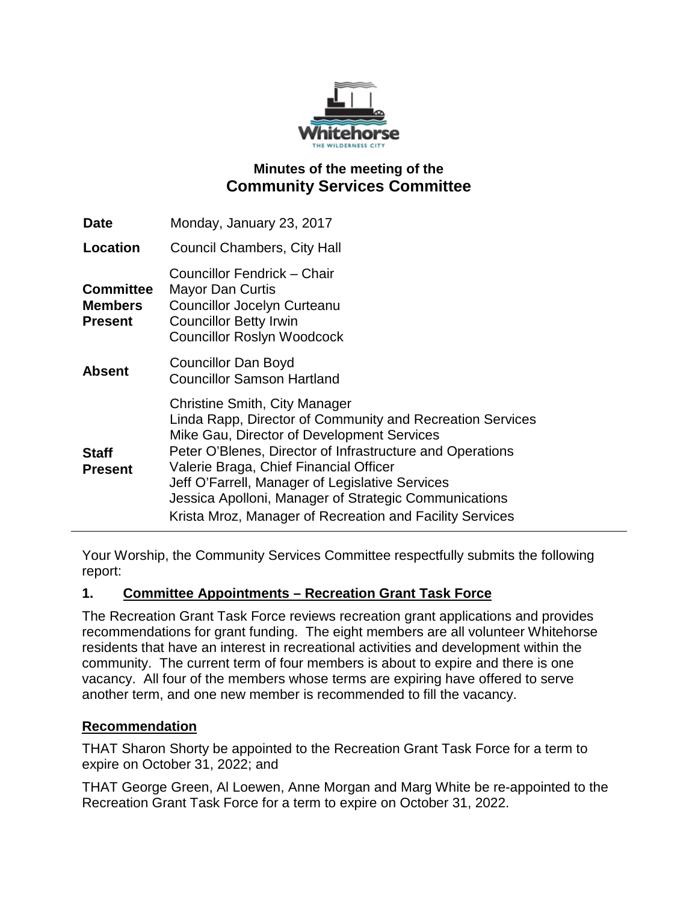

# **Minutes of the meeting of the Community Services Committee**

| <b>Date</b>                                          | Monday, January 23, 2017                                                                                                                                                                                                                                                                                                                                                                                                       |
|------------------------------------------------------|--------------------------------------------------------------------------------------------------------------------------------------------------------------------------------------------------------------------------------------------------------------------------------------------------------------------------------------------------------------------------------------------------------------------------------|
| Location                                             | <b>Council Chambers, City Hall</b>                                                                                                                                                                                                                                                                                                                                                                                             |
| <b>Committee</b><br><b>Members</b><br><b>Present</b> | Councillor Fendrick – Chair<br><b>Mayor Dan Curtis</b><br><b>Councillor Jocelyn Curteanu</b><br><b>Councillor Betty Irwin</b><br><b>Councillor Roslyn Woodcock</b>                                                                                                                                                                                                                                                             |
| <b>Absent</b>                                        | <b>Councillor Dan Boyd</b><br><b>Councillor Samson Hartland</b>                                                                                                                                                                                                                                                                                                                                                                |
| <b>Staff</b><br><b>Present</b>                       | <b>Christine Smith, City Manager</b><br>Linda Rapp, Director of Community and Recreation Services<br>Mike Gau, Director of Development Services<br>Peter O'Blenes, Director of Infrastructure and Operations<br>Valerie Braga, Chief Financial Officer<br>Jeff O'Farrell, Manager of Legislative Services<br>Jessica Apolloni, Manager of Strategic Communications<br>Krista Mroz, Manager of Recreation and Facility Services |

Your Worship, the Community Services Committee respectfully submits the following report:

## **1. Committee Appointments – Recreation Grant Task Force**

The Recreation Grant Task Force reviews recreation grant applications and provides recommendations for grant funding. The eight members are all volunteer Whitehorse residents that have an interest in recreational activities and development within the community. The current term of four members is about to expire and there is one vacancy. All four of the members whose terms are expiring have offered to serve another term, and one new member is recommended to fill the vacancy.

#### **Recommendation**

THAT Sharon Shorty be appointed to the Recreation Grant Task Force for a term to expire on October 31, 2022; and

THAT George Green, Al Loewen, Anne Morgan and Marg White be re-appointed to the Recreation Grant Task Force for a term to expire on October 31, 2022.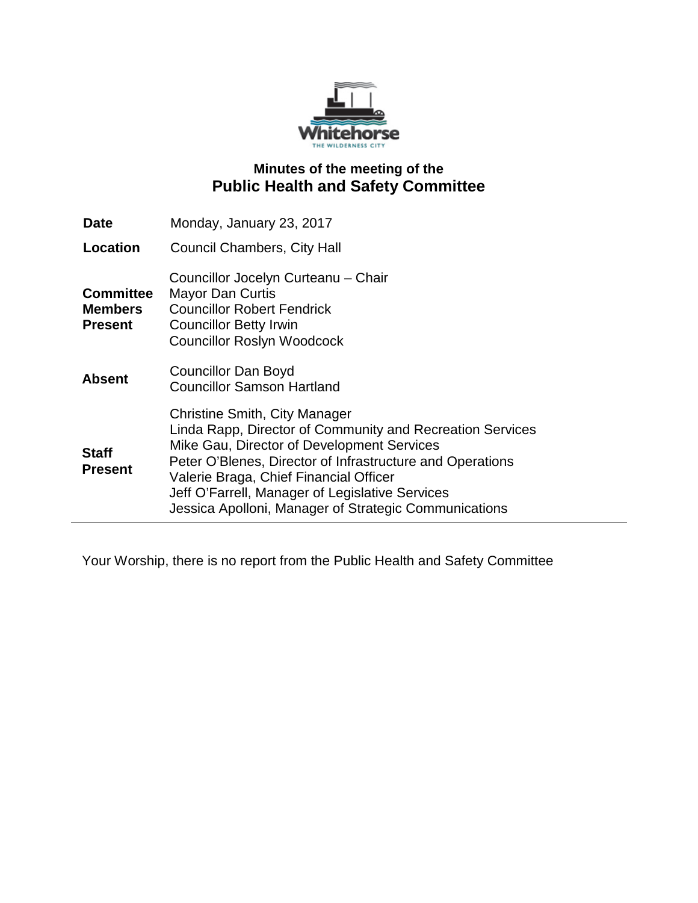

# **Minutes of the meeting of the Public Health and Safety Committee**

| <b>Date</b>                                          | Monday, January 23, 2017                                                                                                                                                                                                                                                                                                                                           |
|------------------------------------------------------|--------------------------------------------------------------------------------------------------------------------------------------------------------------------------------------------------------------------------------------------------------------------------------------------------------------------------------------------------------------------|
| Location                                             | <b>Council Chambers, City Hall</b>                                                                                                                                                                                                                                                                                                                                 |
| <b>Committee</b><br><b>Members</b><br><b>Present</b> | Councillor Jocelyn Curteanu - Chair<br><b>Mayor Dan Curtis</b><br><b>Councillor Robert Fendrick</b><br><b>Councillor Betty Irwin</b><br><b>Councillor Roslyn Woodcock</b>                                                                                                                                                                                          |
| <b>Absent</b>                                        | <b>Councillor Dan Boyd</b><br><b>Councillor Samson Hartland</b>                                                                                                                                                                                                                                                                                                    |
| <b>Staff</b><br><b>Present</b>                       | <b>Christine Smith, City Manager</b><br>Linda Rapp, Director of Community and Recreation Services<br>Mike Gau, Director of Development Services<br>Peter O'Blenes, Director of Infrastructure and Operations<br>Valerie Braga, Chief Financial Officer<br>Jeff O'Farrell, Manager of Legislative Services<br>Jessica Apolloni, Manager of Strategic Communications |

Your Worship, there is no report from the Public Health and Safety Committee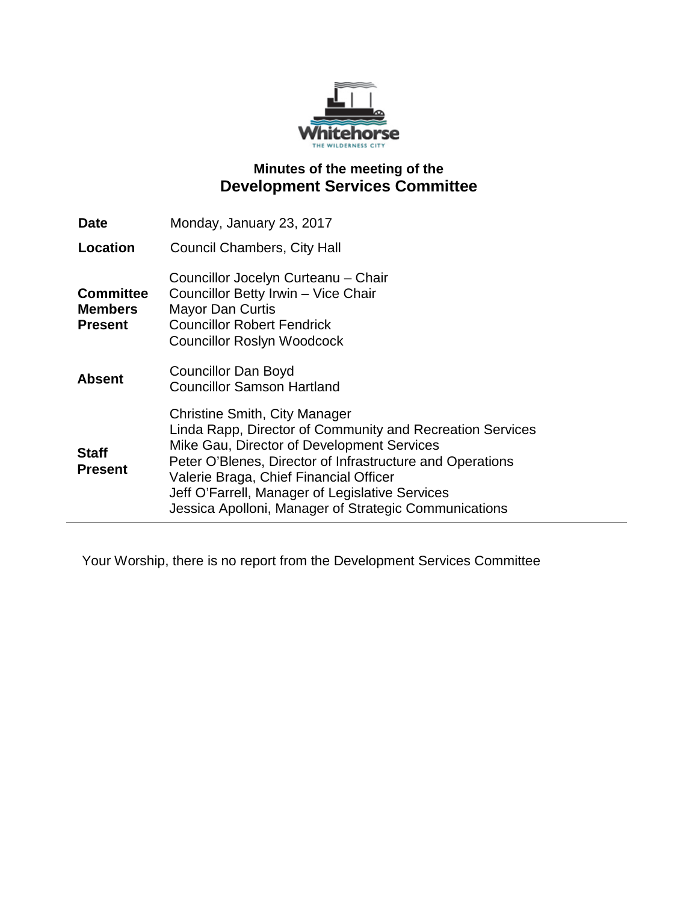

# **Minutes of the meeting of the Development Services Committee**

| <b>Date</b>                                          | Monday, January 23, 2017                                                                                                                                                                                                                                                                                                                                           |
|------------------------------------------------------|--------------------------------------------------------------------------------------------------------------------------------------------------------------------------------------------------------------------------------------------------------------------------------------------------------------------------------------------------------------------|
| Location                                             | <b>Council Chambers, City Hall</b>                                                                                                                                                                                                                                                                                                                                 |
| <b>Committee</b><br><b>Members</b><br><b>Present</b> | Councillor Jocelyn Curteanu - Chair<br>Councillor Betty Irwin - Vice Chair<br><b>Mayor Dan Curtis</b><br><b>Councillor Robert Fendrick</b><br><b>Councillor Roslyn Woodcock</b>                                                                                                                                                                                    |
| <b>Absent</b>                                        | <b>Councillor Dan Boyd</b><br><b>Councillor Samson Hartland</b>                                                                                                                                                                                                                                                                                                    |
| <b>Staff</b><br><b>Present</b>                       | <b>Christine Smith, City Manager</b><br>Linda Rapp, Director of Community and Recreation Services<br>Mike Gau, Director of Development Services<br>Peter O'Blenes, Director of Infrastructure and Operations<br>Valerie Braga, Chief Financial Officer<br>Jeff O'Farrell, Manager of Legislative Services<br>Jessica Apolloni, Manager of Strategic Communications |

Your Worship, there is no report from the Development Services Committee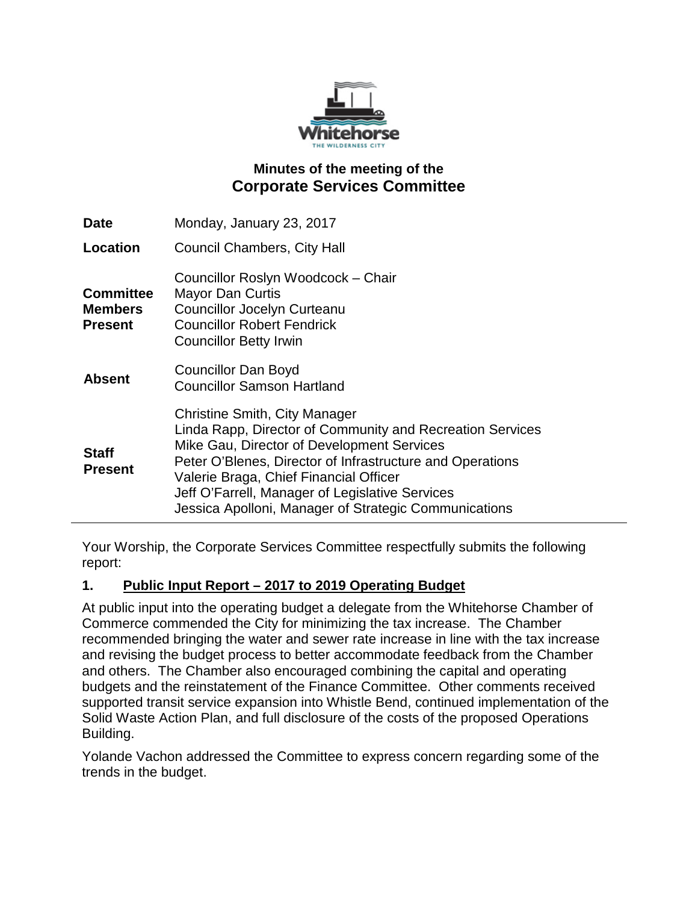

# **Minutes of the meeting of the Corporate Services Committee**

| <b>Date</b>                                          | Monday, January 23, 2017                                                                                                                                                                                                                                                                                                                                    |
|------------------------------------------------------|-------------------------------------------------------------------------------------------------------------------------------------------------------------------------------------------------------------------------------------------------------------------------------------------------------------------------------------------------------------|
| Location                                             | <b>Council Chambers, City Hall</b>                                                                                                                                                                                                                                                                                                                          |
| <b>Committee</b><br><b>Members</b><br><b>Present</b> | Councillor Roslyn Woodcock - Chair<br><b>Mayor Dan Curtis</b><br>Councillor Jocelyn Curteanu<br><b>Councillor Robert Fendrick</b><br><b>Councillor Betty Irwin</b>                                                                                                                                                                                          |
| <b>Absent</b>                                        | <b>Councillor Dan Boyd</b><br><b>Councillor Samson Hartland</b>                                                                                                                                                                                                                                                                                             |
| <b>Staff</b><br><b>Present</b>                       | Christine Smith, City Manager<br>Linda Rapp, Director of Community and Recreation Services<br>Mike Gau, Director of Development Services<br>Peter O'Blenes, Director of Infrastructure and Operations<br>Valerie Braga, Chief Financial Officer<br>Jeff O'Farrell, Manager of Legislative Services<br>Jessica Apolloni, Manager of Strategic Communications |

Your Worship, the Corporate Services Committee respectfully submits the following report:

## **1. Public Input Report – 2017 to 2019 Operating Budget**

At public input into the operating budget a delegate from the Whitehorse Chamber of Commerce commended the City for minimizing the tax increase. The Chamber recommended bringing the water and sewer rate increase in line with the tax increase and revising the budget process to better accommodate feedback from the Chamber and others. The Chamber also encouraged combining the capital and operating budgets and the reinstatement of the Finance Committee. Other comments received supported transit service expansion into Whistle Bend, continued implementation of the Solid Waste Action Plan, and full disclosure of the costs of the proposed Operations Building.

Yolande Vachon addressed the Committee to express concern regarding some of the trends in the budget.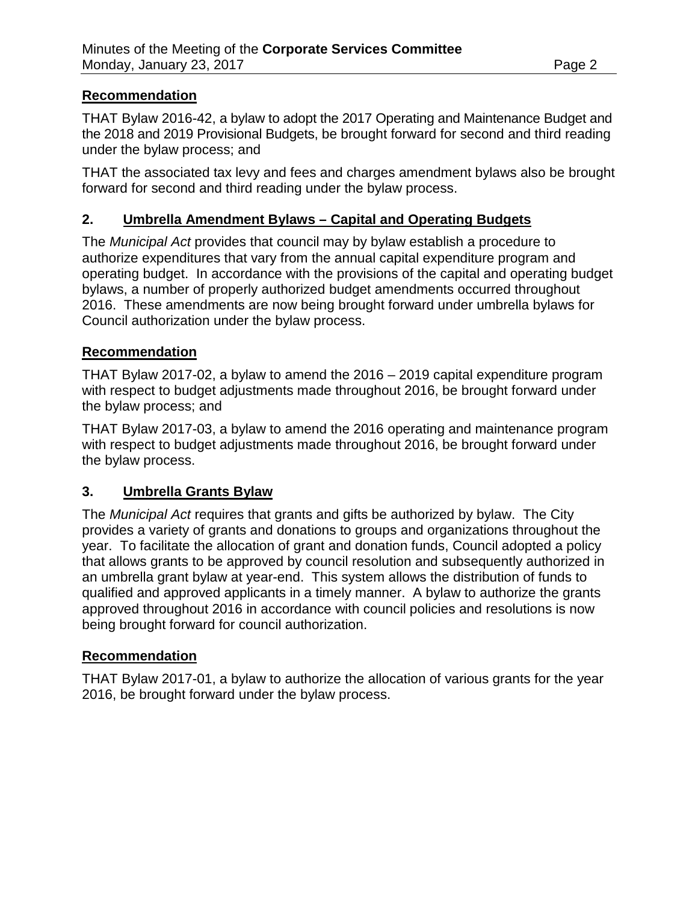### **Recommendation**

THAT Bylaw 2016-42, a bylaw to adopt the 2017 Operating and Maintenance Budget and the 2018 and 2019 Provisional Budgets, be brought forward for second and third reading under the bylaw process; and

THAT the associated tax levy and fees and charges amendment bylaws also be brought forward for second and third reading under the bylaw process.

## **2. Umbrella Amendment Bylaws – Capital and Operating Budgets**

The *Municipal Act* provides that council may by bylaw establish a procedure to authorize expenditures that vary from the annual capital expenditure program and operating budget. In accordance with the provisions of the capital and operating budget bylaws, a number of properly authorized budget amendments occurred throughout 2016. These amendments are now being brought forward under umbrella bylaws for Council authorization under the bylaw process.

### **Recommendation**

THAT Bylaw 2017-02, a bylaw to amend the 2016 – 2019 capital expenditure program with respect to budget adjustments made throughout 2016, be brought forward under the bylaw process; and

THAT Bylaw 2017-03, a bylaw to amend the 2016 operating and maintenance program with respect to budget adjustments made throughout 2016, be brought forward under the bylaw process.

## **3. Umbrella Grants Bylaw**

The *Municipal Act* requires that grants and gifts be authorized by bylaw. The City provides a variety of grants and donations to groups and organizations throughout the year. To facilitate the allocation of grant and donation funds, Council adopted a policy that allows grants to be approved by council resolution and subsequently authorized in an umbrella grant bylaw at year-end. This system allows the distribution of funds to qualified and approved applicants in a timely manner. A bylaw to authorize the grants approved throughout 2016 in accordance with council policies and resolutions is now being brought forward for council authorization.

#### **Recommendation**

THAT Bylaw 2017-01, a bylaw to authorize the allocation of various grants for the year 2016, be brought forward under the bylaw process.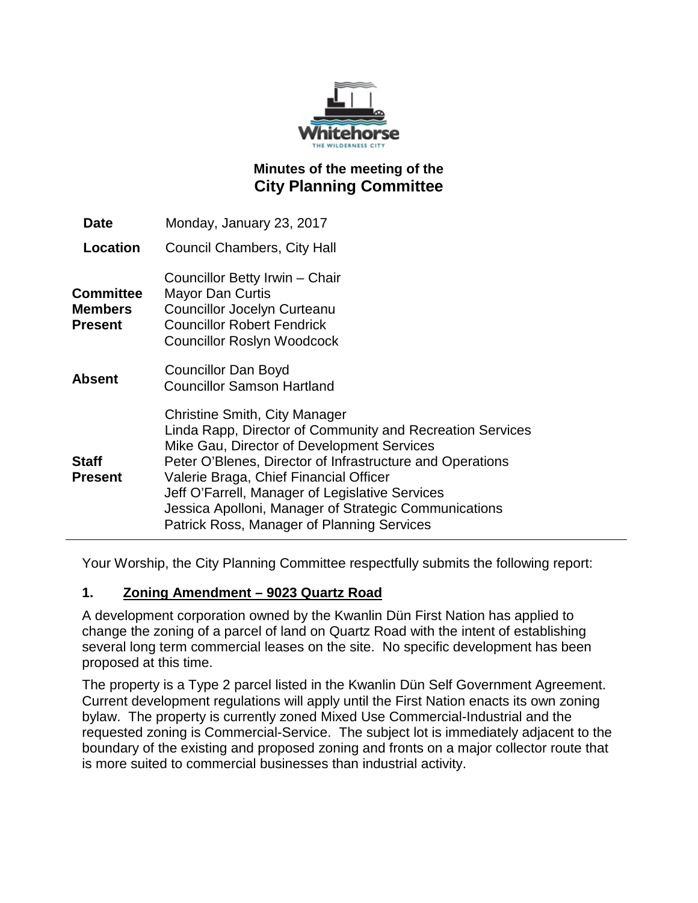

# **Minutes of the meeting of the City Planning Committee**

| Date                                                 | Monday, January 23, 2017                                                                                                                                                                                                                                                                                                                                                                                  |
|------------------------------------------------------|-----------------------------------------------------------------------------------------------------------------------------------------------------------------------------------------------------------------------------------------------------------------------------------------------------------------------------------------------------------------------------------------------------------|
| Location                                             | <b>Council Chambers, City Hall</b>                                                                                                                                                                                                                                                                                                                                                                        |
| <b>Committee</b><br><b>Members</b><br><b>Present</b> | Councillor Betty Irwin - Chair<br><b>Mayor Dan Curtis</b><br><b>Councillor Jocelyn Curteanu</b><br><b>Councillor Robert Fendrick</b><br><b>Councillor Roslyn Woodcock</b>                                                                                                                                                                                                                                 |
| <b>Absent</b>                                        | <b>Councillor Dan Boyd</b><br><b>Councillor Samson Hartland</b>                                                                                                                                                                                                                                                                                                                                           |
| <b>Staff</b><br><b>Present</b>                       | Christine Smith, City Manager<br>Linda Rapp, Director of Community and Recreation Services<br>Mike Gau, Director of Development Services<br>Peter O'Blenes, Director of Infrastructure and Operations<br>Valerie Braga, Chief Financial Officer<br>Jeff O'Farrell, Manager of Legislative Services<br>Jessica Apolloni, Manager of Strategic Communications<br>Patrick Ross, Manager of Planning Services |

Your Worship, the City Planning Committee respectfully submits the following report:

#### **1. Zoning Amendment – 9023 Quartz Road**

A development corporation owned by the Kwanlin Dün First Nation has applied to change the zoning of a parcel of land on Quartz Road with the intent of establishing several long term commercial leases on the site. No specific development has been proposed at this time.

The property is a Type 2 parcel listed in the Kwanlin Dün Self Government Agreement. Current development regulations will apply until the First Nation enacts its own zoning bylaw. The property is currently zoned Mixed Use Commercial-Industrial and the requested zoning is Commercial-Service. The subject lot is immediately adjacent to the boundary of the existing and proposed zoning and fronts on a major collector route that is more suited to commercial businesses than industrial activity.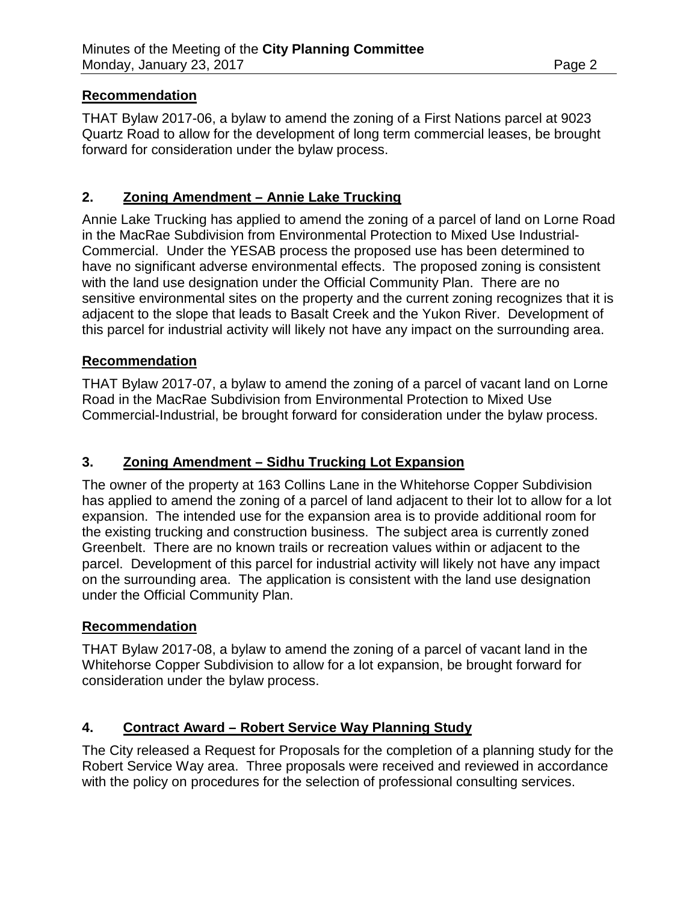### **Recommendation**

THAT Bylaw 2017-06, a bylaw to amend the zoning of a First Nations parcel at 9023 Quartz Road to allow for the development of long term commercial leases, be brought forward for consideration under the bylaw process.

## **2. Zoning Amendment – Annie Lake Trucking**

Annie Lake Trucking has applied to amend the zoning of a parcel of land on Lorne Road in the MacRae Subdivision from Environmental Protection to Mixed Use Industrial-Commercial. Under the YESAB process the proposed use has been determined to have no significant adverse environmental effects. The proposed zoning is consistent with the land use designation under the Official Community Plan. There are no sensitive environmental sites on the property and the current zoning recognizes that it is adjacent to the slope that leads to Basalt Creek and the Yukon River. Development of this parcel for industrial activity will likely not have any impact on the surrounding area.

### **Recommendation**

THAT Bylaw 2017-07, a bylaw to amend the zoning of a parcel of vacant land on Lorne Road in the MacRae Subdivision from Environmental Protection to Mixed Use Commercial-Industrial, be brought forward for consideration under the bylaw process.

## **3. Zoning Amendment – Sidhu Trucking Lot Expansion**

The owner of the property at 163 Collins Lane in the Whitehorse Copper Subdivision has applied to amend the zoning of a parcel of land adjacent to their lot to allow for a lot expansion. The intended use for the expansion area is to provide additional room for the existing trucking and construction business. The subject area is currently zoned Greenbelt. There are no known trails or recreation values within or adjacent to the parcel. Development of this parcel for industrial activity will likely not have any impact on the surrounding area. The application is consistent with the land use designation under the Official Community Plan.

## **Recommendation**

THAT Bylaw 2017-08, a bylaw to amend the zoning of a parcel of vacant land in the Whitehorse Copper Subdivision to allow for a lot expansion, be brought forward for consideration under the bylaw process.

## **4. Contract Award – Robert Service Way Planning Study**

The City released a Request for Proposals for the completion of a planning study for the Robert Service Way area. Three proposals were received and reviewed in accordance with the policy on procedures for the selection of professional consulting services.